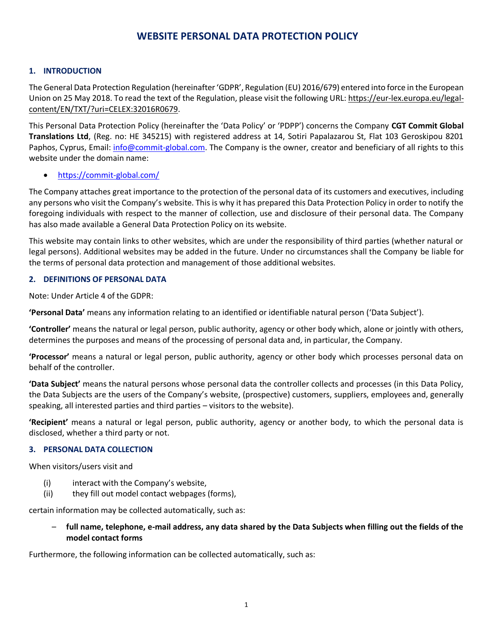# **WEBSITE PERSONAL DATA PROTECTION POLICY**

## **1. INTRODUCTION**

The General Data Protection Regulation (hereinafter 'GDPR', Regulation (EU) 2016/679) entered into force in the European Union on 25 May 2018. To read the text of the Regulation, please visit the following URL: [https://eur-lex.europa.eu/legal](https://eur-lex.europa.eu/legal-content/EL/TXT/?uri=CELEX:32016R0679)[content/EN/TXT/?uri=CELEX:32016R0679.](https://eur-lex.europa.eu/legal-content/EL/TXT/?uri=CELEX:32016R0679)

This Personal Data Protection Policy (hereinafter the 'Data Policy' or 'PDPP') concerns the Company **CGT Commit Global Translations Ltd**, (Reg. no: HE 345215) with registered address at 14, Sotiri Papalazarou St, Flat 103 Geroskipou 8201 Paphos, Cyprus, Email: [info@commit-global.com.](mailto:%20info@commit-global.com) The Company is the owner, creator and beneficiary of all rights to this website under the domain name:

### • <https://commit-global.com/>

The Company attaches great importance to the protection of the personal data of its customers and executives, including any persons who visit the Company's website. This is why it has prepared this Data Protection Policy in order to notify the foregoing individuals with respect to the manner of collection, use and disclosure of their personal data. The Company has also made available a General Data Protection Policy on its website.

This website may contain links to other websites, which are under the responsibility of third parties (whether natural or legal persons). Additional websites may be added in the future. Under no circumstances shall the Company be liable for the terms of personal data protection and management of those additional websites.

### **2. DEFINITIONS OF PERSONAL DATA**

Note: Under Article 4 of the GDPR:

**'Personal Data'** means any information relating to an identified or identifiable natural person ('Data Subject').

**'Controller'** means the natural or legal person, public authority, agency or other body which, alone or jointly with others, determines the purposes and means of the processing of personal data and, in particular, the Company.

**'Processor'** means a natural or legal person, public authority, agency or other body which processes personal data on behalf of the controller.

**'Data Subject'** means the natural persons whose personal data the controller collects and processes (in this Data Policy, the Data Subjects are the users of the Company's website, (prospective) customers, suppliers, employees and, generally speaking, all interested parties and third parties – visitors to the website).

**'Recipient'** means a natural or legal person, public authority, agency or another body, to which the personal data is disclosed, whether a third party or not.

### **3. PERSONAL DATA COLLECTION**

When visitors/users visit and

- (i) interact with the Company's website,
- (ii) they fill out model contact webpages (forms),

certain information may be collected automatically, such as:

– **full name, telephone, e-mail address, any data shared by the Data Subjects when filling out the fields of the model contact forms** 

Furthermore, the following information can be collected automatically, such as: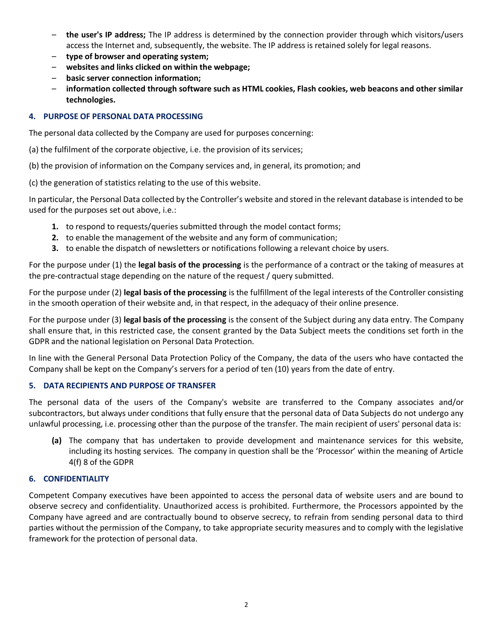- **the user's IP address;** The IP address is determined by the connection provider through which visitors/users access the Internet and, subsequently, the website. The IP address is retained solely for legal reasons.
- **type of browser and operating system;**
- **websites and links clicked on within the webpage;**
- **basic server connection information;**
- **information collected through software such as HTML cookies, Flash cookies, web beacons and other similar technologies.**

## **4. PURPOSE OF PERSONAL DATA PROCESSING**

The personal data collected by the Company are used for purposes concerning:

(a) the fulfilment of the corporate objective, i.e. the provision of its services;

(b) the provision of information on the Company services and, in general, its promotion; and

(c) the generation of statistics relating to the use of this website.

In particular, the Personal Data collected by the Controller's website and stored in the relevant database is intended to be used for the purposes set out above, i.e.:

- **1.** to respond to requests/queries submitted through the model contact forms;
- **2.** to enable the management of the website and any form of communication;
- **3.** to enable the dispatch of newsletters or notifications following a relevant choice by users.

For the purpose under (1) the **legal basis of the processing** is the performance of a contract or the taking of measures at the pre-contractual stage depending on the nature of the request / query submitted.

For the purpose under (2) **legal basis of the processing** is the fulfillment of the legal interests of the Controller consisting in the smooth operation of their website and, in that respect, in the adequacy of their online presence.

For the purpose under (3) **legal basis of the processing** is the consent of the Subject during any data entry. The Company shall ensure that, in this restricted case, the consent granted by the Data Subject meets the conditions set forth in the GDPR and the national legislation on Personal Data Protection.

In line with the General Personal Data Protection Policy of the Company, the data of the users who have contacted the Company shall be kept on the Company's servers for a period of ten (10) years from the date of entry.

### **5. DATA RECIPIENTS AND PURPOSE OF TRANSFER**

The personal data of the users of the Company's website are transferred to the Company associates and/or subcontractors, but always under conditions that fully ensure that the personal data of Data Subjects do not undergo any unlawful processing, i.e. processing other than the purpose of the transfer. The main recipient of users' personal data is:

**(a)** The company that has undertaken to provide development and maintenance services for this website, including its hosting services. The company in question shall be the 'Processor' within the meaning of Article 4(f) 8 of the GDPR

# **6. CONFIDENTIALITY**

Competent Company executives have been appointed to access the personal data of website users and are bound to observe secrecy and confidentiality. Unauthorized access is prohibited. Furthermore, the Processors appointed by the Company have agreed and are contractually bound to observe secrecy, to refrain from sending personal data to third parties without the permission of the Company, to take appropriate security measures and to comply with the legislative framework for the protection of personal data.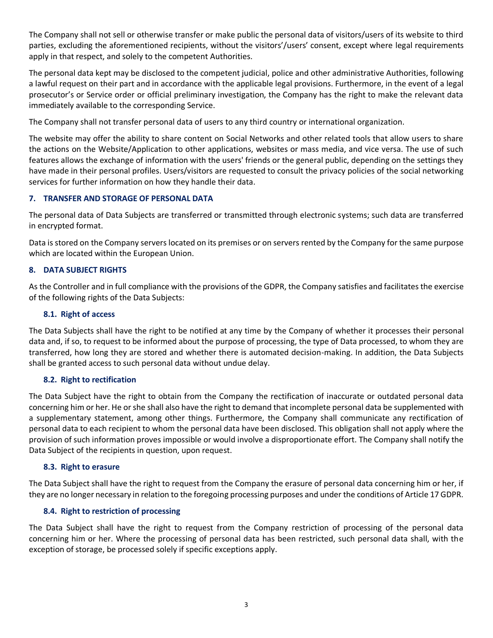The Company shall not sell or otherwise transfer or make public the personal data of visitors/users of its website to third parties, excluding the aforementioned recipients, without the visitors'/users' consent, except where legal requirements apply in that respect, and solely to the competent Authorities.

The personal data kept may be disclosed to the competent judicial, police and other administrative Authorities, following a lawful request on their part and in accordance with the applicable legal provisions. Furthermore, in the event of a legal prosecutor's or Service order or official preliminary investigation, the Company has the right to make the relevant data immediately available to the corresponding Service.

The Company shall not transfer personal data of users to any third country or international organization.

The website may offer the ability to share content on Social Networks and other related tools that allow users to share the actions on the Website/Application to other applications, websites or mass media, and vice versa. The use of such features allows the exchange of information with the users' friends or the general public, depending on the settings they have made in their personal profiles. Users/visitors are requested to consult the privacy policies of the social networking services for further information on how they handle their data.

## **7. TRANSFER AND STORAGE OF PERSONAL DATA**

The personal data of Data Subjects are transferred or transmitted through electronic systems; such data are transferred in encrypted format.

Data is stored on the Company servers located on its premises or on servers rented by the Company for the same purpose which are located within the European Union.

### **8. DATA SUBJECT RIGHTS**

As the Controller and in full compliance with the provisions of the GDPR, the Company satisfies and facilitates the exercise of the following rights of the Data Subjects:

#### **8.1. Right of access**

The Data Subjects shall have the right to be notified at any time by the Company of whether it processes their personal data and, if so, to request to be informed about the purpose of processing, the type of Data processed, to whom they are transferred, how long they are stored and whether there is automated decision-making. In addition, the Data Subjects shall be granted access to such personal data without undue delay.

### **8.2. Right to rectification**

The Data Subject have the right to obtain from the Company the rectification of inaccurate or outdated personal data concerning him or her. He or she shall also have the right to demand that incomplete personal data be supplemented with a supplementary statement, among other things. Furthermore, the Company shall communicate any rectification of personal data to each recipient to whom the personal data have been disclosed. This obligation shall not apply where the provision of such information proves impossible or would involve a disproportionate effort. The Company shall notify the Data Subject of the recipients in question, upon request.

#### **8.3. Right to erasure**

The Data Subject shall have the right to request from the Company the erasure of personal data concerning him or her, if they are no longer necessary in relation to the foregoing processing purposes and under the conditions of Article 17 GDPR.

### **8.4. Right to restriction of processing**

The Data Subject shall have the right to request from the Company restriction of processing of the personal data concerning him or her. Where the processing of personal data has been restricted, such personal data shall, with the exception of storage, be processed solely if specific exceptions apply.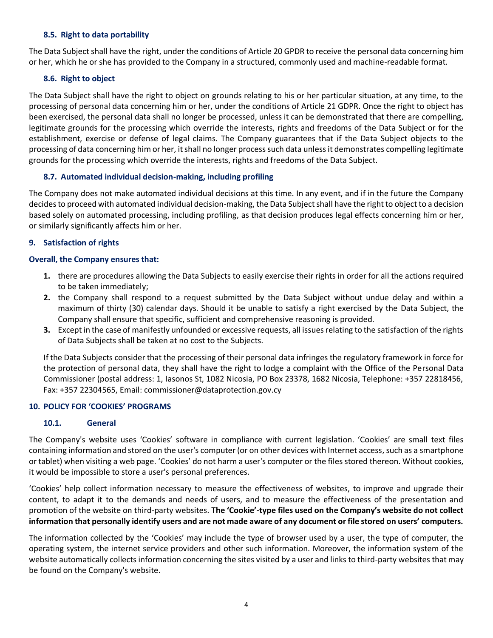### **8.5. Right to data portability**

The Data Subject shall have the right, under the conditions of Article 20 GPDR to receive the personal data concerning him or her, which he or she has provided to the Company in a structured, commonly used and machine-readable format.

## **8.6. Right to object**

The Data Subject shall have the right to object on grounds relating to his or her particular situation, at any time, to the processing of personal data concerning him or her, under the conditions of Article 21 GDPR. Once the right to object has been exercised, the personal data shall no longer be processed, unless it can be demonstrated that there are compelling, legitimate grounds for the processing which override the interests, rights and freedoms of the Data Subject or for the establishment, exercise or defense of legal claims. The Company guarantees that if the Data Subject objects to the processing of data concerning him or her, it shall no longer process such data unless it demonstrates compelling legitimate grounds for the processing which override the interests, rights and freedoms of the Data Subject.

## **8.7. Automated individual decision-making, including profiling**

The Company does not make automated individual decisions at this time. In any event, and if in the future the Company decides to proceed with automated individual decision-making, the Data Subject shall have the right to object to a decision based solely on automated processing, including profiling, as that decision produces legal effects concerning him or her, or similarly significantly affects him or her.

## **9. Satisfaction of rights**

## **Overall, the Company ensures that:**

- **1.** there are procedures allowing the Data Subjects to easily exercise their rights in order for all the actions required to be taken immediately;
- **2.** the Company shall respond to a request submitted by the Data Subject without undue delay and within a maximum of thirty (30) calendar days. Should it be unable to satisfy a right exercised by the Data Subject, the Company shall ensure that specific, sufficient and comprehensive reasoning is provided.
- **3.** Except in the case of manifestly unfounded or excessive requests, all issues relating to the satisfaction of the rights of Data Subjects shall be taken at no cost to the Subjects.

If the Data Subjects consider that the processing of their personal data infringes the regulatory framework in force for the protection of personal data, they shall have the right to lodge a complaint with the Office of the Personal Data Commissioner (postal address: 1, Iasonos St, 1082 Nicosia, PO Box 23378, 1682 Nicosia, Telephone: +357 22818456, Fax: +357 22304565, Email: [commissioner@dataprotection.gov.cy](mailto:%20commissioner@dataprotection.gov.cy) 

# **10. POLICY FOR 'COOKIES' PROGRAMS**

# **10.1. General**

The Company's website uses 'Cookies' software in compliance with current legislation. 'Cookies' are small text files containing information and stored on the user's computer (or on other devices with Internet access, such as a smartphone or tablet) when visiting a web page. 'Cookies' do not harm a user's computer or the files stored thereon. Without cookies, it would be impossible to store a user's personal preferences.

'Cookies' help collect information necessary to measure the effectiveness of websites, to improve and upgrade their content, to adapt it to the demands and needs of users, and to measure the effectiveness of the presentation and promotion of the website on third-party websites. **The 'Cookie'-type files used on the Company's website do not collect information that personally identify users and are not made aware of any document or file stored on users' computers.**

The information collected by the 'Cookies' may include the type of browser used by a user, the type of computer, the operating system, the internet service providers and other such information. Moreover, the information system of the website automatically collects information concerning the sites visited by a user and links to third-party websites that may be found on the Company's website.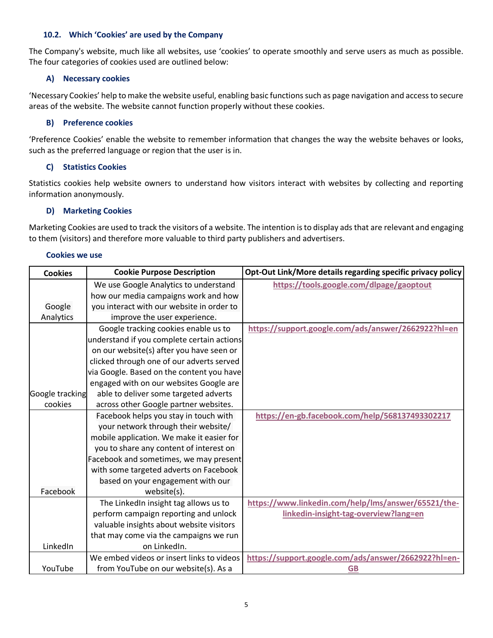### **10.2. Which 'Cookies' are used by the Company**

The Company's website, much like all websites, use 'cookies' to operate smoothly and serve users as much as possible. The four categories of cookies used are outlined below:

## **A) Necessary cookies**

'Necessary Cookies' help to make the website useful, enabling basic functions such as page navigation and access to secure areas of the website. The website cannot function properly without these cookies.

## **B) Preference cookies**

'Preference Cookies' enable the website to remember information that changes the way the website behaves or looks, such as the preferred language or region that the user is in.

# **C) Statistics Cookies**

Statistics cookies help website owners to understand how visitors interact with websites by collecting and reporting information anonymously.

### **D) Marketing Cookies**

Marketing Cookies are used to track the visitors of a website. The intention is to display ads that are relevant and engaging to them (visitors) and therefore more valuable to third party publishers and advertisers.

#### **Cookies we use**

| <b>Cookies</b>  | <b>Cookie Purpose Description</b>          | Opt-Out Link/More details regarding specific privacy policy |
|-----------------|--------------------------------------------|-------------------------------------------------------------|
|                 | We use Google Analytics to understand      | https://tools.google.com/dlpage/gaoptout                    |
|                 | how our media campaigns work and how       |                                                             |
| Google          | you interact with our website in order to  |                                                             |
| Analytics       | improve the user experience.               |                                                             |
|                 | Google tracking cookies enable us to       | https://support.google.com/ads/answer/2662922?hl=en         |
|                 | understand if you complete certain actions |                                                             |
|                 | on our website(s) after you have seen or   |                                                             |
|                 | clicked through one of our adverts served  |                                                             |
|                 | via Google. Based on the content you have  |                                                             |
|                 | engaged with on our websites Google are    |                                                             |
| Google tracking | able to deliver some targeted adverts      |                                                             |
| cookies         | across other Google partner websites.      |                                                             |
|                 | Facebook helps you stay in touch with      | https://en-gb.facebook.com/help/568137493302217             |
|                 | your network through their website/        |                                                             |
|                 | mobile application. We make it easier for  |                                                             |
|                 | you to share any content of interest on    |                                                             |
|                 | Facebook and sometimes, we may present     |                                                             |
|                 | with some targeted adverts on Facebook     |                                                             |
|                 | based on your engagement with our          |                                                             |
| Facebook        | website(s).                                |                                                             |
|                 | The LinkedIn insight tag allows us to      | https://www.linkedin.com/help/lms/answer/65521/the-         |
|                 | perform campaign reporting and unlock      | linkedin-insight-tag-overview?lang=en                       |
|                 | valuable insights about website visitors   |                                                             |
|                 | that may come via the campaigns we run     |                                                             |
| LinkedIn        | on LinkedIn.                               |                                                             |
|                 | We embed videos or insert links to videos  | https://support.google.com/ads/answer/2662922?hl=en-        |
| YouTube         | from YouTube on our website(s). As a       | <b>GB</b>                                                   |